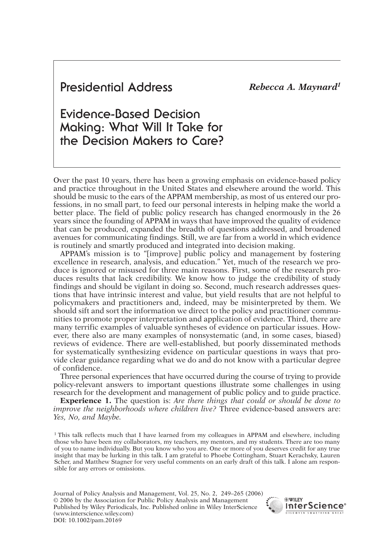# *Rebecca A. Maynard1* **Presidential Address**

# **Evidence-Based Decision Making: What Will It Take for the Decision Makers to Care?**

Over the past 10 years, there has been a growing emphasis on evidence-based policy and practice throughout in the United States and elsewhere around the world. This should be music to the ears of the APPAM membership, as most of us entered our professions, in no small part, to feed our personal interests in helping make the world a better place. The field of public policy research has changed enormously in the 26 years since the founding of APPAM in ways that have improved the quality of evidence that can be produced, expanded the breadth of questions addressed, and broadened avenues for communicating findings. Still, we are far from a world in which evidence is routinely and smartly produced and integrated into decision making.

APPAM's mission is to "[improve] public policy and management by fostering excellence in research, analysis, and education." Yet, much of the research we produce is ignored or misused for three main reasons. First, some of the research produces results that lack credibility. We know how to judge the credibility of study findings and should be vigilant in doing so. Second, much research addresses questions that have intrinsic interest and value, but yield results that are not helpful to policymakers and practitioners and, indeed, may be misinterpreted by them. We should sift and sort the information we direct to the policy and practitioner communities to promote proper interpretation and application of evidence. Third, there are many terrific examples of valuable syntheses of evidence on particular issues. However, there also are many examples of nonsystematic (and, in some cases, biased) reviews of evidence. There are well-established, but poorly disseminated methods for systematically synthesizing evidence on particular questions in ways that provide clear guidance regarding what we do and do not know with a particular degree of confidence.

Three personal experiences that have occurred during the course of trying to provide policy-relevant answers to important questions illustrate some challenges in using research for the development and management of public policy and to guide practice.

**Experience 1.** The question is: *Are there things that could or should be done to improve the neighborhoods where children live?* Three evidence-based answers are: *Yes, No, and Maybe.*

<sup>1</sup> This talk reflects much that I have learned from my colleagues in APPAM and elsewhere, including those who have been my collaborators, my teachers, my mentors, and my students. There are too many of you to name individually. But you know who you are. One or more of you deserves credit for any true insight that may be lurking in this talk. I am grateful to Phoebe Cottingham, Stuart Kerachsky, Lauren Scher, and Matthew Stagner for very useful comments on an early draft of this talk. I alone am responsible for any errors or omissions.

Journal of Policy Analysis and Management, Vol. 25, No. 2, 249–265 (2006) © 2006 by the Association for Public Policy Analysis and Management Published by Wiley Periodicals, Inc. Published online in Wiley InterScience (www.interscience.wiley.com) DOI: 10.1002/pam.20169

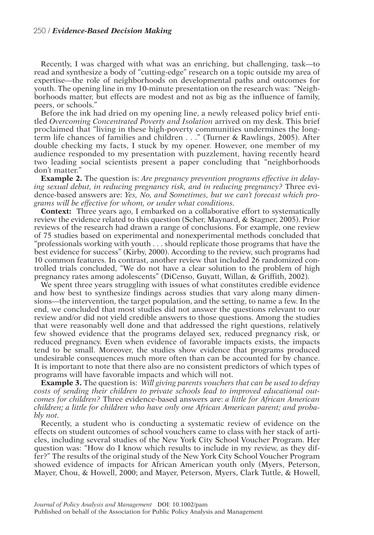Recently, I was charged with what was an enriching, but challenging, task—to read and synthesize a body of "cutting-edge" research on a topic outside my area of expertise—the role of neighborhoods on developmental paths and outcomes for youth. The opening line in my 10-minute presentation on the research was: "Neighborhoods matter, but effects are modest and not as big as the influence of family, peers, or schools."

Before the ink had dried on my opening line, a newly released policy brief entitled *Overcoming Concentrated Poverty and Isolation* arrived on my desk. This brief proclaimed that "living in these high-poverty communities undermines the longterm life chances of families and children . . ." (Turner & Rawlings, 2005). After double checking my facts, I stuck by my opener. However, one member of my audience responded to my presentation with puzzlement, having recently heard two leading social scientists present a paper concluding that "neighborhoods don't matter."

**Example 2.** The question is: *Are pregnancy prevention programs effective in delaying sexual debut, in reducing pregnancy risk, and in reducing pregnancy?* Three evidence-based answers are: *Yes, No, and Sometimes, but we can't forecast which programs will be effective for whom, or under what conditions.* 

**Context:** Three years ago, I embarked on a collaborative effort to systematically review the evidence related to this question (Scher, Maynard, & Stagner, 2005). Prior reviews of the research had drawn a range of conclusions. For example, one review of 75 studies based on experimental and nonexperimental methods concluded that "professionals working with youth . . . should replicate those programs that have the best evidence for success" (Kirby, 2000). According to the review, such programs had 10 common features. In contrast, another review that included 26 randomized controlled trials concluded, "We do not have a clear solution to the problem of high pregnancy rates among adolescents" (DiCenso, Guyatt, Willan, & Griffith, 2002).

We spent three years struggling with issues of what constitutes credible evidence and how best to synthesize findings across studies that vary along many dimensions—the intervention, the target population, and the setting, to name a few. In the end, we concluded that most studies did not answer the questions relevant to our review and/or did not yield credible answers to those questions. Among the studies that were reasonably well done and that addressed the right questions, relatively few showed evidence that the programs delayed sex, reduced pregnancy risk, or reduced pregnancy. Even when evidence of favorable impacts exists, the impacts tend to be small. Moreover, the studies show evidence that programs produced undesirable consequences much more often than can be accounted for by chance. It is important to note that there also are no consistent predictors of which types of programs will have favorable impacts and which will not.

**Example 3.** The question is: *Will giving parents vouchers that can be used to defray costs of sending their children to private schools lead to improved educational outcomes for children?* Three evidence-based answers are: *a little for African American children; a little for children who have only one African American parent; and probably not.* 

Recently, a student who is conducting a systematic review of evidence on the effects on student outcomes of school vouchers came to class with her stack of articles, including several studies of the New York City School Voucher Program. Her question was: "How do I know which results to include in my review, as they differ?" The results of the original study of the New York City School Voucher Program showed evidence of impacts for African American youth only (Myers, Peterson, Mayer, Chou, & Howell, 2000; and Mayer, Peterson, Myers, Clark Tuttle, & Howell,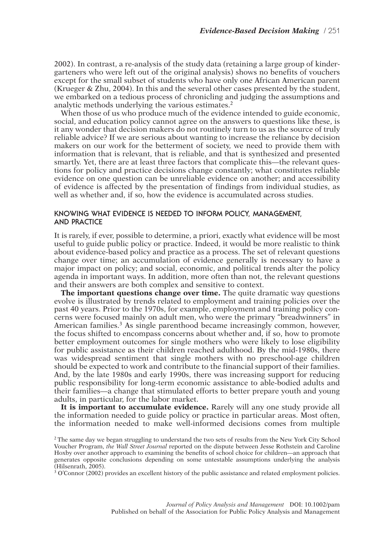2002). In contrast, a re-analysis of the study data (retaining a large group of kindergarteners who were left out of the original analysis) shows no benefits of vouchers except for the small subset of students who have only one African American parent (Krueger & Zhu, 2004). In this and the several other cases presented by the student, we embarked on a tedious process of chronicling and judging the assumptions and analytic methods underlying the various estimates.<sup>2</sup>

When those of us who produce much of the evidence intended to guide economic, social, and education policy cannot agree on the answers to questions like these, is it any wonder that decision makers do not routinely turn to us as the source of truly reliable advice? If we are serious about wanting to increase the reliance by decision makers on our work for the betterment of society, we need to provide them with information that is relevant, that is reliable, and that is synthesized and presented smartly. Yet, there are at least three factors that complicate this—the relevant questions for policy and practice decisions change constantly; what constitutes reliable evidence on one question can be unreliable evidence on another; and accessibility of evidence is affected by the presentation of findings from individual studies, as well as whether and, if so, how the evidence is accumulated across studies.

# **KNOWING WHAT EVIDENCE IS NEEDED TO INFORM POLICY, MANAGEMENT, AND PRACTICE**

It is rarely, if ever, possible to determine, a priori, exactly what evidence will be most useful to guide public policy or practice. Indeed, it would be more realistic to think about evidence-based policy and practice as a process. The set of relevant questions change over time; an accumulation of evidence generally is necessary to have a major impact on policy; and social, economic, and political trends alter the policy agenda in important ways. In addition, more often than not, the relevant questions and their answers are both complex and sensitive to context.

**The important questions change over time.** The quite dramatic way questions evolve is illustrated by trends related to employment and training policies over the past 40 years. Prior to the 1970s, for example, employment and training policy concerns were focused mainly on adult men, who were the primary "breadwinners" in American families.<sup>3</sup> As single parenthood became increasingly common, however, the focus shifted to encompass concerns about whether and, if so, how to promote better employment outcomes for single mothers who were likely to lose eligibility for public assistance as their children reached adulthood. By the mid-1980s, there was widespread sentiment that single mothers with no preschool-age children should be expected to work and contribute to the financial support of their families. And, by the late 1980s and early 1990s, there was increasing support for reducing public responsibility for long-term economic assistance to able-bodied adults and their families—a change that stimulated efforts to better prepare youth and young adults, in particular, for the labor market.

**It is important to accumulate evidence.** Rarely will any one study provide all the information needed to guide policy or practice in particular areas. Most often, the information needed to make well-informed decisions comes from multiple

<sup>3</sup> O'Connor (2002) provides an excellent history of the public assistance and related employment policies.

<sup>&</sup>lt;sup>2</sup> The same day we began struggling to understand the two sets of results from the New York City School Voucher Program, *the Wall Street Journal* reported on the dispute between Jesse Rothstein and Caroline Hoxby over another approach to examining the benefits of school choice for children—an approach that generates opposite conclusions depending on some untestable assumptions underlying the analysis (Hilsenrath, 2005).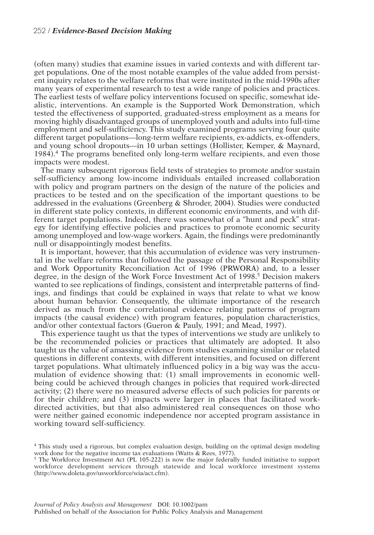(often many) studies that examine issues in varied contexts and with different target populations. One of the most notable examples of the value added from persistent inquiry relates to the welfare reforms that were instituted in the mid-1990s after many years of experimental research to test a wide range of policies and practices. The earliest tests of welfare policy interventions focused on specific, somewhat idealistic, interventions. An example is the Supported Work Demonstration, which tested the effectiveness of supported, graduated-stress employment as a means for moving highly disadvantaged groups of unemployed youth and adults into full-time employment and self-sufficiency. This study examined programs serving four quite different target populations—long-term welfare recipients, ex-addicts, ex-offenders, and young school dropouts—in 10 urban settings (Hollister, Kemper, & Maynard, 1984).4 The programs benefited only long-term welfare recipients, and even those impacts were modest.

The many subsequent rigorous field tests of strategies to promote and/or sustain self-sufficiency among low-income individuals entailed increased collaboration with policy and program partners on the design of the nature of the policies and practices to be tested and on the specification of the important questions to be addressed in the evaluations (Greenberg & Shroder, 2004). Studies were conducted in different state policy contexts, in different economic environments, and with different target populations. Indeed, there was somewhat of a "hunt and peck" strategy for identifying effective policies and practices to promote economic security among unemployed and low-wage workers. Again, the findings were predominantly null or disappointingly modest benefits.

It is important, however, that this accumulation of evidence was very instrumental in the welfare reforms that followed the passage of the Personal Responsibility and Work Opportunity Reconciliation Act of 1996 (PRWORA) and, to a lesser degree, in the design of the Work Force Investment Act of 1998.<sup>5</sup> Decision makers wanted to see replications of findings, consistent and interpretable patterns of findings, and findings that could be explained in ways that relate to what we know about human behavior. Consequently, the ultimate importance of the research derived as much from the correlational evidence relating patterns of program impacts (the causal evidence) with program features, population characteristics, and/or other contextual factors (Gueron & Pauly, 1991; and Mead, 1997).

This experience taught us that the types of interventions we study are unlikely to be the recommended policies or practices that ultimately are adopted. It also taught us the value of amassing evidence from studies examining similar or related questions in different contexts, with different intensities, and focused on different target populations. What ultimately influenced policy in a big way was the accumulation of evidence showing that: (1) small improvements in economic wellbeing could be achieved through changes in policies that required work-directed activity; (2) there were no measured adverse effects of such policies for parents or for their children; and (3) impacts were larger in places that facilitated workdirected activities, but that also administered real consequences on those who were neither gained economic independence nor accepted program assistance in working toward self-sufficiency.

<sup>4</sup> This study used a rigorous, but complex evaluation design, building on the optimal design modeling work done for the negative income tax evaluations (Watts & Rees, 1977).

<sup>&</sup>lt;sup>5</sup> The Workforce Investment Act (PL 105-222) is now the major federally funded initiative to support workforce development services through statewide and local workforce investment systems (http://www.doleta.gov/usworkforce/wia/act.cfm).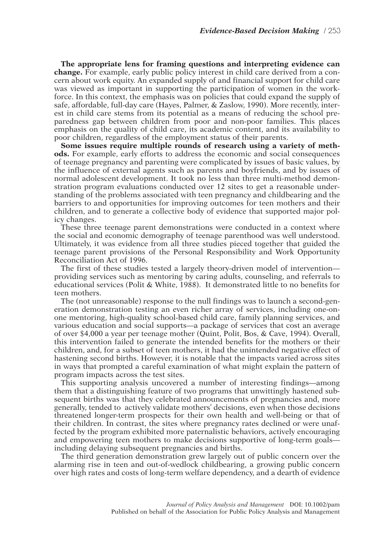**The appropriate lens for framing questions and interpreting evidence can change.** For example, early public policy interest in child care derived from a concern about work equity. An expanded supply of and financial support for child care was viewed as important in supporting the participation of women in the workforce. In this context, the emphasis was on policies that could expand the supply of safe, affordable, full-day care (Hayes, Palmer, & Zaslow, 1990). More recently, interest in child care stems from its potential as a means of reducing the school preparedness gap between children from poor and non-poor families. This places emphasis on the quality of child care, its academic content, and its availability to poor children, regardless of the employment status of their parents.

**Some issues require multiple rounds of research using a variety of methods.** For example, early efforts to address the economic and social consequences of teenage pregnancy and parenting were complicated by issues of basic values, by the influence of external agents such as parents and boyfriends, and by issues of normal adolescent development. It took no less than three multi-method demonstration program evaluations conducted over 12 sites to get a reasonable understanding of the problems associated with teen pregnancy and childbearing and the barriers to and opportunities for improving outcomes for teen mothers and their children, and to generate a collective body of evidence that supported major policy changes.

These three teenage parent demonstrations were conducted in a context where the social and economic demography of teenage parenthood was well understood. Ultimately, it was evidence from all three studies pieced together that guided the teenage parent provisions of the Personal Responsibility and Work Opportunity Reconciliation Act of 1996.

The first of these studies tested a largely theory-driven model of intervention providing services such as mentoring by caring adults, counseling, and referrals to educational services (Polit & White, 1988). It demonstrated little to no benefits for teen mothers.

The (not unreasonable) response to the null findings was to launch a second-generation demonstration testing an even richer array of services, including one-onone mentoring, high-quality school-based child care, family planning services, and various education and social supports—a package of services that cost an average of over \$4,000 a year per teenage mother (Quint, Polit, Bos, & Cave, 1994). Overall, this intervention failed to generate the intended benefits for the mothers or their children, and, for a subset of teen mothers, it had the unintended negative effect of hastening second births. However, it is notable that the impacts varied across sites in ways that prompted a careful examination of what might explain the pattern of program impacts across the test sites.

This supporting analysis uncovered a number of interesting findings—among them that a distinguishing feature of two programs that unwittingly hastened subsequent births was that they celebrated announcements of pregnancies and, more generally, tended to actively validate mothers' decisions, even when those decisions threatened longer-term prospects for their own health and well-being or that of their children. In contrast, the sites where pregnancy rates declined or were unaffected by the program exhibited more paternalistic behaviors, actively encouraging and empowering teen mothers to make decisions supportive of long-term goals including delaying subsequent pregnancies and births.

The third generation demonstration grew largely out of public concern over the alarming rise in teen and out-of-wedlock childbearing, a growing public concern over high rates and costs of long-term welfare dependency, and a dearth of evidence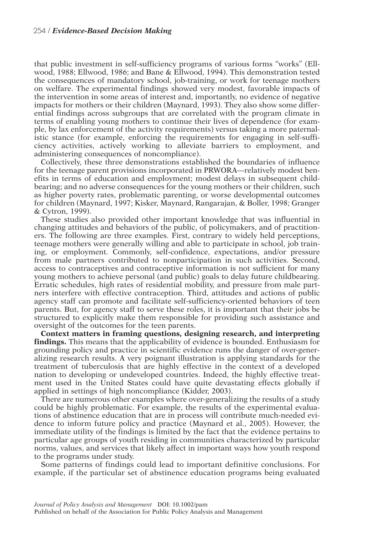that public investment in self-sufficiency programs of various forms "works" (Ellwood, 1988; Ellwood, 1986; and Bane & Ellwood, 1994). This demonstration tested the consequences of mandatory school, job-training, or work for teenage mothers on welfare. The experimental findings showed very modest, favorable impacts of the intervention in some areas of interest and, importantly, no evidence of negative impacts for mothers or their children (Maynard, 1993). They also show some differential findings across subgroups that are correlated with the program climate in terms of enabling young mothers to continue their lives of dependence (for example, by lax enforcement of the activity requirements) versus taking a more paternalistic stance (for example, enforcing the requirements for engaging in self-sufficiency activities, actively working to alleviate barriers to employment, and administering consequences of noncompliance).

Collectively, these three demonstrations established the boundaries of influence for the teenage parent provisions incorporated in PRWORA—relatively modest benefits in terms of education and employment; modest delays in subsequent childbearing; and no adverse consequences for the young mothers or their children, such as higher poverty rates, problematic parenting, or worse developmental outcomes for children (Maynard, 1997; Kisker, Maynard, Rangarajan, & Boller, 1998; Granger & Cytron, 1999).

These studies also provided other important knowledge that was influential in changing attitudes and behaviors of the public, of policymakers, and of practitioners. The following are three examples. First, contrary to widely held perceptions, teenage mothers were generally willing and able to participate in school, job training, or employment. Commonly, self-confidence, expectations, and/or pressure from male partners contributed to nonparticipation in such activities. Second, access to contraceptives and contraceptive information is not sufficient for many young mothers to achieve personal (and public) goals to delay future childbearing. Erratic schedules, high rates of residential mobility, and pressure from male partners interfere with effective contraception. Third, attitudes and actions of public agency staff can promote and facilitate self-sufficiency-oriented behaviors of teen parents. But, for agency staff to serve these roles, it is important that their jobs be structured to explicitly make them responsible for providing such assistance and oversight of the outcomes for the teen parents.

**Context matters in framing questions, designing research, and interpreting findings.** This means that the applicability of evidence is bounded. Enthusiasm for grounding policy and practice in scientific evidence runs the danger of over-generalizing research results. A very poignant illustration is applying standards for the treatment of tuberculosis that are highly effective in the context of a developed nation to developing or undeveloped countries. Indeed, the highly effective treatment used in the United States could have quite devastating effects globally if applied in settings of high noncompliance (Kidder, 2003).

There are numerous other examples where over-generalizing the results of a study could be highly problematic. For example, the results of the experimental evaluations of abstinence education that are in process will contribute much-needed evidence to inform future policy and practice (Maynard et al., 2005). However, the immediate utility of the findings is limited by the fact that the evidence pertains to particular age groups of youth residing in communities characterized by particular norms, values, and services that likely affect in important ways how youth respond to the programs under study.

Some patterns of findings could lead to important definitive conclusions. For example, if the particular set of abstinence education programs being evaluated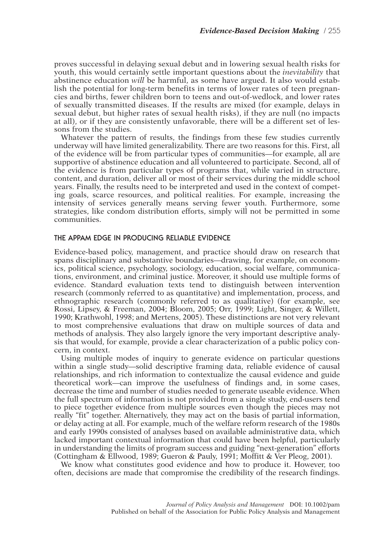proves successful in delaying sexual debut and in lowering sexual health risks for youth, this would certainly settle important questions about the *inevitability* that abstinence education *will* be harmful, as some have argued. It also would establish the potential for long-term benefits in terms of lower rates of teen pregnancies and births, fewer children born to teens and out-of-wedlock, and lower rates of sexually transmitted diseases. If the results are mixed (for example, delays in sexual debut, but higher rates of sexual health risks), if they are null (no impacts at all), or if they are consistently unfavorable, there will be a different set of lessons from the studies.

Whatever the pattern of results, the findings from these few studies currently underway will have limited generalizability. There are two reasons for this. First, all of the evidence will be from particular types of communities—for example, all are supportive of abstinence education and all volunteered to participate. Second, all of the evidence is from particular types of programs that, while varied in structure, content, and duration, deliver all or most of their services during the middle school years. Finally, the results need to be interpreted and used in the context of competing goals, scarce resources, and political realities. For example, increasing the intensity of services generally means serving fewer youth. Furthermore, some strategies, like condom distribution efforts, simply will not be permitted in some communities.

### **THE APPAM EDGE IN PRODUCING RELIABLE EVIDENCE**

Evidence-based policy, management, and practice should draw on research that spans disciplinary and substantive boundaries—drawing, for example, on economics, political science, psychology, sociology, education, social welfare, communications, environment, and criminal justice. Moreover, it should use multiple forms of evidence. Standard evaluation texts tend to distinguish between intervention research (commonly referred to as quantitative) and implementation, process, and ethnographic research (commonly referred to as qualitative) (for example, see Rossi, Lipsey, & Freeman, 2004; Bloom, 2005; Orr, 1999; Light, Singer, & Willett, 1990; Krathwohl, 1998; and Mertens, 2005). These distinctions are not very relevant to most comprehensive evaluations that draw on multiple sources of data and methods of analysis. They also largely ignore the very important descriptive analysis that would, for example, provide a clear characterization of a public policy concern, in context.

Using multiple modes of inquiry to generate evidence on particular questions within a single study—solid descriptive framing data, reliable evidence of causal relationships, and rich information to contextualize the causal evidence and guide theoretical work—can improve the usefulness of findings and, in some cases, decrease the time and number of studies needed to generate useable evidence. When the full spectrum of information is not provided from a single study, end-users tend to piece together evidence from multiple sources even though the pieces may not really "fit" together. Alternatively, they may act on the basis of partial information, or delay acting at all. For example, much of the welfare reform research of the 1980s and early 1990s consisted of analyses based on available administrative data, which lacked important contextual information that could have been helpful, particularly in understanding the limits of program success and guiding "next-generation" efforts (Cottingham & Ellwood, 1989; Gueron & Pauly, 1991; Moffitt & Ver Pleog, 2001).

We know what constitutes good evidence and how to produce it. However, too often, decisions are made that compromise the credibility of the research findings.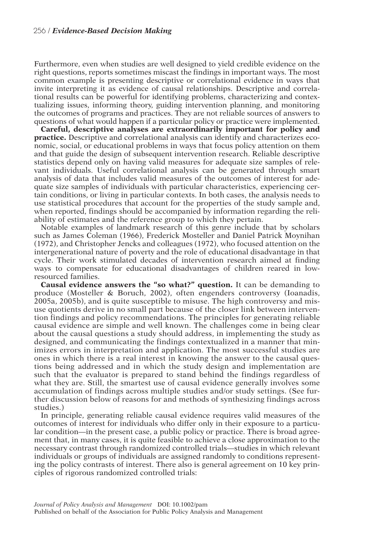Furthermore, even when studies are well designed to yield credible evidence on the right questions, reports sometimes miscast the findings in important ways. The most common example is presenting descriptive or correlational evidence in ways that invite interpreting it as evidence of causal relationships. Descriptive and correlational results can be powerful for identifying problems, characterizing and contextualizing issues, informing theory, guiding intervention planning, and monitoring the outcomes of programs and practices. They are not reliable sources of answers to questions of what would happen if a particular policy or practice were implemented.

**Careful, descriptive analyses are extraordinarily important for policy and practice.** Descriptive and correlational analysis can identify and characterizes economic, social, or educational problems in ways that focus policy attention on them and that guide the design of subsequent intervention research. Reliable descriptive statistics depend only on having valid measures for adequate size samples of relevant individuals. Useful correlational analysis can be generated through smart analysis of data that includes valid measures of the outcomes of interest for adequate size samples of individuals with particular characteristics, experiencing certain conditions, or living in particular contexts. In both cases, the analysis needs to use statistical procedures that account for the properties of the study sample and, when reported, findings should be accompanied by information regarding the reliability of estimates and the reference group to which they pertain.

Notable examples of landmark research of this genre include that by scholars such as James Coleman (1966), Frederick Mosteller and Daniel Patrick Moynihan (1972), and Christopher Jencks and colleagues (1972), who focused attention on the intergenerational nature of poverty and the role of educational disadvantage in that cycle. Their work stimulated decades of intervention research aimed at finding ways to compensate for educational disadvantages of children reared in lowresourced families.

**Causal evidence answers the "so what?" question.** It can be demanding to produce (Mosteller & Boruch, 2002), often engenders controversy (Ioanadis, 2005a, 2005b), and is quite susceptible to misuse. The high controversy and misuse quotients derive in no small part because of the closer link between intervention findings and policy recommendations. The principles for generating reliable causal evidence are simple and well known. The challenges come in being clear about the causal questions a study should address, in implementing the study as designed, and communicating the findings contextualized in a manner that minimizes errors in interpretation and application. The most successful studies are ones in which there is a real interest in knowing the answer to the causal questions being addressed and in which the study design and implementation are such that the evaluator is prepared to stand behind the findings regardless of what they are. Still, the smartest use of causal evidence generally involves some accumulation of findings across multiple studies and/or study settings. (See further discussion below of reasons for and methods of synthesizing findings across studies.)

In principle, generating reliable causal evidence requires valid measures of the outcomes of interest for individuals who differ only in their exposure to a particular condition—in the present case, a public policy or practice. There is broad agreement that, in many cases, it is quite feasible to achieve a close approximation to the necessary contrast through randomized controlled trials—studies in which relevant individuals or groups of individuals are assigned randomly to conditions representing the policy contrasts of interest. There also is general agreement on 10 key principles of rigorous randomized controlled trials: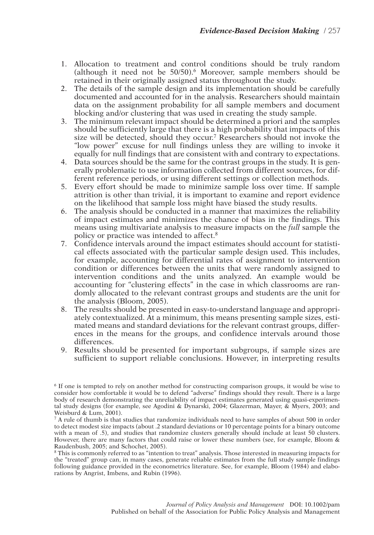- 1. Allocation to treatment and control conditions should be truly random (although it need not be 50/50).6 Moreover, sample members should be retained in their originally assigned status throughout the study.
- 2. The details of the sample design and its implementation should be carefully documented and accounted for in the analysis. Researchers should maintain data on the assignment probability for all sample members and document blocking and/or clustering that was used in creating the study sample.
- 3. The minimum relevant impact should be determined a priori and the samples should be sufficiently large that there is a high probability that impacts of this size will be detected, should they occur.7 Researchers should not invoke the "low power" excuse for null findings unless they are willing to invoke it equally for null findings that are consistent with and contrary to expectations.
- 4. Data sources should be the same for the contrast groups in the study. It is generally problematic to use information collected from different sources, for different reference periods, or using different settings or collection methods.
- 5. Every effort should be made to minimize sample loss over time. If sample attrition is other than trivial, it is important to examine and report evidence on the likelihood that sample loss might have biased the study results.
- 6. The analysis should be conducted in a manner that maximizes the reliability of impact estimates and minimizes the chance of bias in the findings. This means using multivariate analysis to measure impacts on the *full* sample the policy or practice was intended to affect.8
- 7. Confidence intervals around the impact estimates should account for statistical effects associated with the particular sample design used. This includes, for example, accounting for differential rates of assignment to intervention condition or differences between the units that were randomly assigned to intervention conditions and the units analyzed. An example would be accounting for "clustering effects" in the case in which classrooms are randomly allocated to the relevant contrast groups and students are the unit for the analysis (Bloom, 2005).
- 8. The results should be presented in easy-to-understand language and appropriately contextualized. At a minimum, this means presenting sample sizes, estimated means and standard deviations for the relevant contrast groups, differences in the means for the groups, and confidence intervals around those differences.
- 9. Results should be presented for important subgroups, if sample sizes are sufficient to support reliable conclusions. However, in interpreting results

<sup>6</sup> If one is tempted to rely on another method for constructing comparison groups, it would be wise to consider how comfortable it would be to defend "adverse" findings should they result. There is a large body of research demonstrating the unreliability of impact estimates generated using quasi-experimental study designs (for example, see Agodini & Dynarski, 2004; Glazerman, Mayer, & Myers, 2003; and Weisburd & Lum, 2001).

<sup>7</sup> A rule of thumb is that studies that randomize individuals need to have samples of about 500 in order to detect modest size impacts (about .2 standard deviations or 10 percentage points for a binary outcome with a mean of .5), and studies that randomize clusters generally should include at least 50 clusters. However, there are many factors that could raise or lower these numbers (see, for example, Bloom & Raudenbush, 2005; and Schochet, 2005).

<sup>&</sup>lt;sup>8</sup> This is commonly referred to as "intention to treat" analysis. Those interested in measuring impacts for the "treated" group can, in many cases, generate reliable estimates from the full study sample findings following guidance provided in the econometrics literature. See, for example, Bloom (1984) and elaborations by Angrist, Imbens, and Rubin (1996).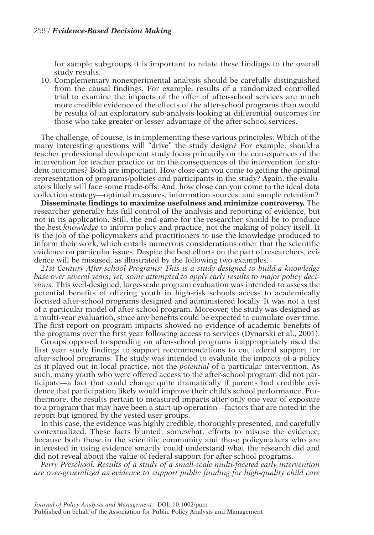for sample subgroups it is important to relate these findings to the overall study results.

10. Complementary nonexperimental analysis should be carefully distinguished from the causal findings. For example, results of a randomized controlled trial to examine the impacts of the offer of after-school services are much more credible evidence of the effects of the after-school programs than would be results of an exploratory sub-analysis looking at differential outcomes for those who take greater or lesser advantage of the after-school services.

The challenge, of course, is in implementing these various principles. Which of the many interesting questions will "drive" the study design? For example, should a teacher professional development study focus primarily on the consequences of the intervention for teacher practice or on the consequences of the intervention for student outcomes? Both are important. How close can you come to getting the optimal representation of programs/policies and participants in the study? Again, the evaluators likely will face some trade-offs. And, how close can you come to the ideal data collection strategy—optimal measures, information sources, and sample retention?

**Disseminate findings to maximize usefulness and minimize controversy.** The researcher generally has full control of the analysis and reporting of evidence, but not in its application. Still, the end-game for the researcher should be to produce the best *knowledge* to inform policy and practice, not the making of policy itself. It is the job of the policymakers and practitioners to use the knowledge produced to inform their work, which entails numerous considerations other that the scientific evidence on particular issues. Despite the best efforts on the part of researchers, evidence will be misused, as illustrated by the following two examples.

*21st Century After-school Programs: This is a study designed to build a knowledge base over several years; yet, some attempted to apply early results to major policy decisions.* This well-designed, large-scale program evaluation was intended to assess the potential benefits of offering youth in high-risk schools access to academically focused after-school programs designed and administered locally. It was not a test of a particular model of after-school program. Moreover, the study was designed as a multi-year evaluation, since any benefits could be expected to cumulate over time. The first report on program impacts showed no evidence of academic benefits of the programs over the first year following access to services (Dynarski et al., 2001).

Groups opposed to spending on after-school programs inappropriately used the first year study findings to support recommendations to cut federal support for after-school programs. The study was intended to evaluate the impacts of a policy as it played out in local practice, not the *potential* of a particular intervention. As such, many youth who were offered access to the after-school program did not participate—a fact that could change quite dramatically if parents had credible evidence that participation likely would improve their child's school performance. Furthermore, the results pertain to measured impacts after only one year of exposure to a program that may have been a start-up operation—factors that are noted in the report but ignored by the vested user groups.

In this case, the evidence was highly credible, thoroughly presented, and carefully contextualized. These facts blunted, somewhat, efforts to misuse the evidence, because both those in the scientific community and those policymakers who are interested in using evidence smartly could understand what the research did and did not reveal about the value of federal support for after-school programs.

*Perry Preschool: Results of a study of a small-scale multi-faceted early intervention are over-generalized as evidence to support public funding for high-quality child care*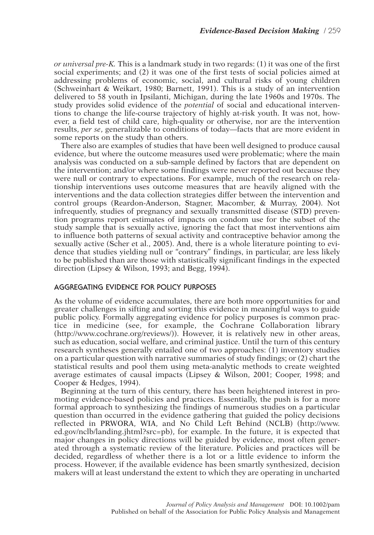*or universal pre-K.* This is a landmark study in two regards: (1) it was one of the first social experiments; and (2) it was one of the first tests of social policies aimed at addressing problems of economic, social, and cultural risks of young children (Schweinhart & Weikart, 1980; Barnett, 1991). This is a study of an intervention delivered to 58 youth in Ipsilanti, Michigan, during the late 1960s and 1970s. The study provides solid evidence of the *potential* of social and educational interventions to change the life-course trajectory of highly at-risk youth. It was not, however, a field test of child care, high-quality or otherwise, nor are the intervention results, *per se*, generalizable to conditions of today—facts that are more evident in some reports on the study than others.

There also are examples of studies that have been well designed to produce causal evidence, but where the outcome measures used were problematic; where the main analysis was conducted on a sub-sample defined by factors that are dependent on the intervention; and/or where some findings were never reported out because they were null or contrary to expectations. For example, much of the research on relationship interventions uses outcome measures that are heavily aligned with the interventions and the data collection strategies differ between the intervention and control groups (Reardon-Anderson, Stagner, Macomber, & Murray, 2004). Not infrequently, studies of pregnancy and sexually transmitted disease (STD) prevention programs report estimates of impacts on condom use for the subset of the study sample that is sexually active, ignoring the fact that most interventions aim to influence both patterns of sexual activity and contraceptive behavior among the sexually active (Scher et al., 2005). And, there is a whole literature pointing to evidence that studies yielding null or "contrary" findings, in particular, are less likely to be published than are those with statistically significant findings in the expected direction (Lipsey & Wilson, 1993; and Begg, 1994).

# **AGGREGATING EVIDENCE FOR POLICY PURPOSES**

As the volume of evidence accumulates, there are both more opportunities for and greater challenges in sifting and sorting this evidence in meaningful ways to guide public policy. Formally aggregating evidence for policy purposes is common practice in medicine (see, for example, the Cochrane Collaboration library (http://www.cochrane.org/reviews/)). However, it is relatively new in other areas, such as education, social welfare, and criminal justice. Until the turn of this century research syntheses generally entailed one of two approaches: (1) inventory studies on a particular question with narrative summaries of study findings; or (2) chart the statistical results and pool them using meta-analytic methods to create weighted average estimates of causal impacts (Lipsey & Wilson, 2001; Cooper, 1998; and Cooper & Hedges, 1994).

Beginning at the turn of this century, there has been heightened interest in promoting evidence-based policies and practices. Essentially, the push is for a more formal approach to synthesizing the findings of numerous studies on a particular question than occurred in the evidence gathering that guided the policy decisions reflected in PRWORA, WIA, and No Child Left Behind (NCLB) (http://www. ed.gov/nclb/landing.jhtml?src=pb), for example. In the future, it is expected that major changes in policy directions will be guided by evidence, most often generated through a systematic review of the literature. Policies and practices will be decided, regardless of whether there is a lot or a little evidence to inform the process. However, if the available evidence has been smartly synthesized, decision makers will at least understand the extent to which they are operating in uncharted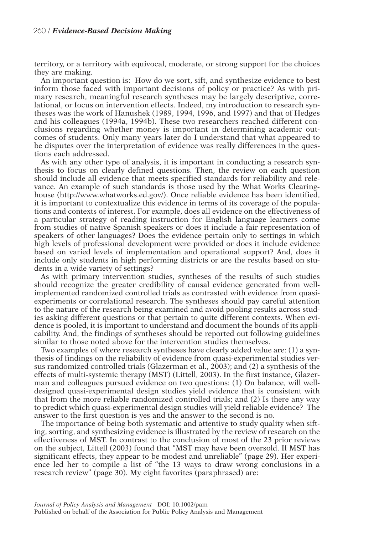### 260 / *Evidence-Based Decision Making*

territory, or a territory with equivocal, moderate, or strong support for the choices they are making.

An important question is: How do we sort, sift, and synthesize evidence to best inform those faced with important decisions of policy or practice? As with primary research, meaningful research syntheses may be largely descriptive, correlational, or focus on intervention effects. Indeed, my introduction to research syntheses was the work of Hanushek (1989, 1994, 1996, and 1997) and that of Hedges and his colleagues (1994a, 1994b). These two researchers reached different conclusions regarding whether money is important in determining academic outcomes of students. Only many years later do I understand that what appeared to be disputes over the interpretation of evidence was really differences in the questions each addressed.

As with any other type of analysis, it is important in conducting a research synthesis to focus on clearly defined questions. Then, the review on each question should include all evidence that meets specified standards for reliability and relevance. An example of such standards is those used by the What Works Clearinghouse (http://www.whatworks.ed.gov/). Once reliable evidence has been identified, it is important to contextualize this evidence in terms of its coverage of the populations and contexts of interest. For example, does all evidence on the effectiveness of a particular strategy of reading instruction for English language learners come from studies of native Spanish speakers or does it include a fair representation of speakers of other languages? Does the evidence pertain only to settings in which high levels of professional development were provided or does it include evidence based on varied levels of implementation and operational support? And, does it include only students in high performing districts or are the results based on students in a wide variety of settings?

As with primary intervention studies, syntheses of the results of such studies should recognize the greater credibility of causal evidence generated from wellimplemented randomized controlled trials as contrasted with evidence from quasiexperiments or correlational research. The syntheses should pay careful attention to the nature of the research being examined and avoid pooling results across studies asking different questions or that pertain to quite different contexts. When evidence is pooled, it is important to understand and document the bounds of its applicability. And, the findings of syntheses should be reported out following guidelines similar to those noted above for the intervention studies themselves.

Two examples of where research syntheses have clearly added value are: (1) a synthesis of findings on the reliability of evidence from quasi-experimental studies versus randomized controlled trials (Glazerman et al., 2003); and (2) a synthesis of the effects of multi-systemic therapy (MST) (Littell, 2003). In the first instance, Glazerman and colleagues pursued evidence on two questions: (1) On balance, will welldesigned quasi-experimental design studies yield evidence that is consistent with that from the more reliable randomized controlled trials; and (2) Is there any way to predict which quasi-experimental design studies will yield reliable evidence? The answer to the first question is yes and the answer to the second is no.

The importance of being both systematic and attentive to study quality when sifting, sorting, and synthesizing evidence is illustrated by the review of research on the effectiveness of MST. In contrast to the conclusion of most of the 23 prior reviews on the subject, Littell (2003) found that "MST may have been oversold. If MST has significant effects, they appear to be modest and unreliable" (page 29). Her experience led her to compile a list of "the 13 ways to draw wrong conclusions in a research review" (page 30). My eight favorites (paraphrased) are: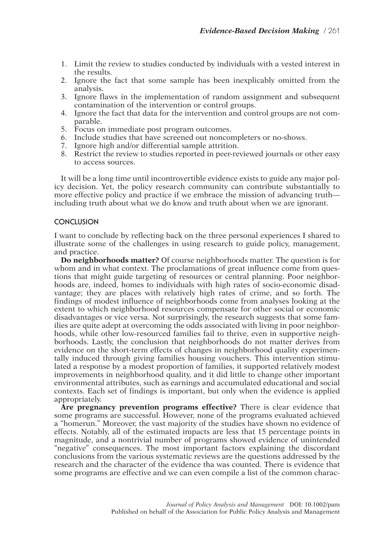- 1. Limit the review to studies conducted by individuals with a vested interest in the results.
- 2. Ignore the fact that some sample has been inexplicably omitted from the analysis.
- 3. Ignore flaws in the implementation of random assignment and subsequent contamination of the intervention or control groups.
- 4. Ignore the fact that data for the intervention and control groups are not comparable.
- 5. Focus on immediate post program outcomes.
- 6. Include studies that have screened out noncompleters or no-shows.
- 7. Ignore high and/or differential sample attrition.
- 8. Restrict the review to studies reported in peer-reviewed journals or other easy to access sources.

It will be a long time until incontrovertible evidence exists to guide any major policy decision. Yet, the policy research community can contribute substantially to more effective policy and practice if we embrace the mission of advancing truth including truth about what we do know and truth about when we are ignorant.

#### **CONCLUSION**

I want to conclude by reflecting back on the three personal experiences I shared to illustrate some of the challenges in using research to guide policy, management, and practice.

**Do neighborhoods matter?** Of course neighborhoods matter. The question is for whom and in what context. The proclamations of great influence come from questions that might guide targeting of resources or central planning. Poor neighborhoods are, indeed, homes to individuals with high rates of socio-economic disadvantage; they are places with relatively high rates of crime, and so forth. The findings of modest influence of neighborhoods come from analyses looking at the extent to which neighborhood resources compensate for other social or economic disadvantages or vice versa. Not surprisingly, the research suggests that some families are quite adept at overcoming the odds associated with living in poor neighborhoods, while other low-resourced families fail to thrive, even in supportive neighborhoods. Lastly, the conclusion that neighborhoods do not matter derives from evidence on the short-term effects of changes in neighborhood quality experimentally induced through giving families housing vouchers. This intervention stimulated a response by a modest proportion of families, it supported relatively modest improvements in neighborhood quality, and it did little to change other important environmental attributes, such as earnings and accumulated educational and social contexts. Each set of findings is important, but only when the evidence is applied appropriately.

**Are pregnancy prevention programs effective?** There is clear evidence that some programs are successful. However, none of the programs evaluated achieved a "homerun." Moreover, the vast majority of the studies have shown no evidence of effects. Notably, all of the estimated impacts are less that 15 percentage points in magnitude, and a nontrivial number of programs showed evidence of unintended "negative" consequences. The most important factors explaining the discordant conclusions from the various systematic reviews are the questions addressed by the research and the character of the evidence tha was counted. There is evidence that some programs are effective and we can even compile a list of the common charac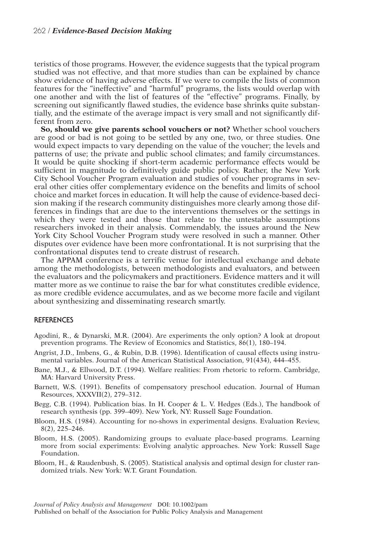teristics of those programs. However, the evidence suggests that the typical program studied was not effective, and that more studies than can be explained by chance show evidence of having adverse effects. If we were to compile the lists of common features for the "ineffective" and "harmful" programs, the lists would overlap with one another and with the list of features of the "effective" programs. Finally, by screening out significantly flawed studies, the evidence base shrinks quite substantially, and the estimate of the average impact is very small and not significantly different from zero.

**So, should we give parents school vouchers or not?** Whether school vouchers are good or bad is not going to be settled by any one, two, or three studies. One would expect impacts to vary depending on the value of the voucher; the levels and patterns of use; the private and public school climates; and family circumstances. It would be quite shocking if short-term academic performance effects would be sufficient in magnitude to definitively guide public policy. Rather, the New York City School Voucher Program evaluation and studies of voucher programs in several other cities offer complementary evidence on the benefits and limits of school choice and market forces in education. It will help the cause of evidence-based decision making if the research community distinguishes more clearly among those differences in findings that are due to the interventions themselves or the settings in which they were tested and those that relate to the untestable assumptions researchers invoked in their analysis. Commendably, the issues around the New York City School Voucher Program study were resolved in such a manner. Other disputes over evidence have been more confrontational. It is not surprising that the confrontational disputes tend to create distrust of research.

The APPAM conference is a terrific venue for intellectual exchange and debate among the methodologists, between methodologists and evaluators, and between the evaluators and the policymakers and practitioners. Evidence matters and it will matter more as we continue to raise the bar for what constitutes credible evidence, as more credible evidence accumulates, and as we become more facile and vigilant about synthesizing and disseminating research smartly.

#### **REFERENCES**

- Agodini, R., & Dynarski, M.R. (2004). Are experiments the only option? A look at dropout prevention programs. The Review of Economics and Statistics, 86(1), 180–194.
- Angrist, J.D., Imbens, G., & Rubin, D.B. (1996). Identification of causal effects using instrumental variables. Journal of the American Statistical Association, 91(434), 444–455.
- Bane, M.J., & Ellwood, D.T. (1994). Welfare realities: From rhetoric to reform. Cambridge, MA: Harvard University Press.
- Barnett, W.S. (1991). Benefits of compensatory preschool education. Journal of Human Resources, XXXVII(2), 279–312.
- Begg, C.B. (1994). Publication bias. In H. Cooper & L. V. Hedges (Eds.), The handbook of research synthesis (pp. 399–409). New York, NY: Russell Sage Foundation.
- Bloom, H.S. (1984). Accounting for no-shows in experimental designs. Evaluation Review, 8(2), 225–246.
- Bloom, H.S. (2005). Randomizing groups to evaluate place-based programs. Learning more from social experiments: Evolving analytic approaches. New York: Russell Sage Foundation.
- Bloom, H., & Raudenbush, S. (2005). Statistical analysis and optimal design for cluster randomized trials. New York: W.T. Grant Foundation.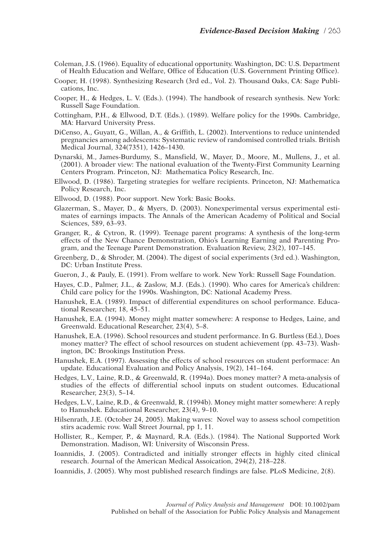- Coleman, J.S. (1966). Equality of educational opportunity. Washington, DC: U.S. Department of Health Education and Welfare, Office of Education (U.S. Government Printing Office).
- Cooper, H. (1998). Synthesizing Research (3rd ed., Vol. 2). Thousand Oaks, CA: Sage Publications, Inc.
- Cooper, H., & Hedges, L. V. (Eds.). (1994). The handbook of research synthesis. New York: Russell Sage Foundation.
- Cottingham, P.H., & Ellwood, D.T. (Eds.). (1989). Welfare policy for the 1990s. Cambridge, MA: Harvard University Press.
- DiCenso, A., Guyatt, G., Willan, A., & Griffith, L. (2002). Interventions to reduce unintended pregnancies among adolescents: Systematic review of randomised controlled trials. British Medical Journal, 324(7351), 1426–1430.
- Dynarski, M., James-Burdumy, S., Mansfield, W., Mayer, D., Moore, M., Mullens, J., et al. (2001). A broader view: The national evaluation of the Twenty-First Community Learning Centers Program. Princeton, NJ: Mathematica Policy Research, Inc.
- Ellwood, D. (1986). Targeting strategies for welfare recipients. Princeton, NJ: Mathematica Policy Research, Inc.
- Ellwood, D. (1988). Poor support. New York: Basic Books.
- Glazerman, S., Mayer, D., & Myers, D. (2003). Nonexperimental versus experimental estimates of earnings impacts. The Annals of the American Academy of Political and Social Sciences, 589, 63–93.
- Granger, R., & Cytron, R. (1999). Teenage parent programs: A synthesis of the long-term effects of the New Chance Demonstration, Ohio's Learning Earning and Parenting Program, and the Teenage Parent Demonstration. Evaluation Review, 23(2), 107–145.
- Greenberg, D., & Shroder, M. (2004). The digest of social experiments (3rd ed.). Washington, DC: Urban Institute Press.
- Gueron, J., & Pauly, E. (1991). From welfare to work. New York: Russell Sage Foundation.
- Hayes, C.D., Palmer, J.L., & Zaslow, M.J. (Eds.). (1990). Who cares for America's children: Child care policy for the 1990s. Washington, DC: National Academy Press.
- Hanushek, E.A. (1989). Impact of differential expenditures on school performance. Educational Researcher, 18, 45–51.
- Hanushek, E.A. (1994). Money might matter somewhere: A response to Hedges, Laine, and Greenwald. Educational Researcher, 23(4), 5–8.
- Hanushek, E.A. (1996). School resources and student performance. In G. Burtless (Ed.), Does money matter? The effect of school resources on student achievement (pp. 43–73). Washington, DC: Brookings Institution Press.
- Hanushek, E.A. (1997). Assessing the effects of school resources on student performace: An update. Educational Evaluation and Policy Analysis, 19(2), 141–164.
- Hedges, L.V., Laine, R.D., & Greenwald, R. (1994a). Does money matter? A meta-analysis of studies of the effects of differential school inputs on student outcomes. Educational Researcher, 23(3), 5–14.
- Hedges, L.V., Laine, R.D., & Greenwald, R. (1994b). Money might matter somewhere: A reply to Hanushek. Educational Researcher, 23(4), 9–10.
- Hilsenrath, J.E. (October 24, 2005). Making waves: Novel way to assess school competition stirs academic row. Wall Street Journal, pp 1, 11.
- Hollister, R., Kemper, P., & Maynard, R.A. (Eds.). (1984). The National Supported Work Demonstration. Madison, WI: University of Wisconsin Press.
- Ioannidis, J. (2005). Contradicted and initially stronger effects in highly cited clinical research. Journal of the American Medical Assoication, 294(2), 218–228.
- Ioannidis, J. (2005). Why most published research findings are false. PLoS Medicine, 2(8).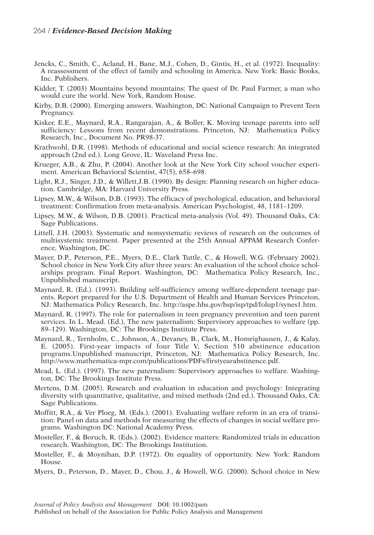- Jencks, C., Smith, C., Acland, H., Bane, M.J., Cohen, D., Gintis, H., et al. (1972). Inequality: A reassessment of the effect of family and schooling in America. New York: Basic Books, Inc. Publishers.
- Kidder, T. (2003) Mountains beyond mountains: The quest of Dr. Paul Farmer, a man who would cure the world. New York, Random House.
- Kirby, D.B. (2000). Emerging answers. Washington, DC: National Campaign to Prevent Teen Pregnancy.
- Kisker, E.E., Maynard, R.A., Rangarajan, A., & Boller, K. Moving teenage parents into self sufficiency: Lessons from recent demonstrations. Princeton, NJ: Mathematica Policy Research, Inc., Document No. PR98-37.
- Krathwohl, D.R. (1998). Methods of educational and social science research: An integrated approach (2nd ed.). Long Grove, IL: Waveland Press Inc.
- Krueger, A.B., & Zhu, P. (2004). Another look at the New York City school voucher experiment. American Behavioral Scientist, 47(5), 658–698.
- Light, R.J., Singer, J.D., & Willett,J.B. (1990). By design: Planning research on higher education. Cambridge, MA: Harvard University Press.
- Lipsey, M.W., & Wilson, D.B. (1993). The efficacy of psychological, education, and behavioral treatment: Confirmation from meta-analysis. American Psychologist, 48, 1181–1209.
- Lipsey, M.W., & Wilson, D.B. (2001). Practical meta-analysis (Vol. 49). Thousand Oaks, CA: Sage Publications.
- Littell, J.H. (2003). Systematic and nonsystematic reviews of research on the outcomes of multisystemic treatment. Paper presented at the 25th Annual APPAM Research Conference, Washington, DC.
- Mayer, D.P., Peterson, P.E., Myers, D.E., Clark Tuttle, C., & Howell, W.G. (February 2002). School choice in New York City after three years: An evaluation of the school choice scholarships program. Final Report. Washington, DC: Mathematica Policy Research, Inc., Unpublished manuscript.
- Maynard, R. (Ed.). (1993). Building self-sufficiency among welfare-dependent teenage parents. Report prepared for the U.S. Department of Health and Human Services Princeton, NJ: Mathematica Policy Research, Inc. http://aspe.hhs.gov/hsp/isp/tpd/folup1/synes1.htm.
- Maynard, R. (1997). The role for paternalism in teen pregnancy prevention and teen parent services. In L. Mead. (Ed.), The new paternalism: Supervisory approaches to welfare (pp. 89–129). Washington, DC: The Brookings Institute Press.
- Maynard, R., Ternholm, C., Johnson, A., Devaney, B., Clark, M., Homrighausen, J., & Kalay, E. (2005). First-year impacts of four Title V, Section 510 abstinence education programs.Unpublished manuscript, Princeton, NJ: Mathematica Policy Research, Inc. http://www.mathematica-mpr.com/publications/PDFs/firstyearabstinence.pdf.
- Mead, L. (Ed.). (1997). The new paternalism: Supervisory approaches to welfare. Washington, DC: The Brookings Institute Press.
- Mertens, D.M. (2005). Research and evaluation in education and psychology: Integrating diversity with quantitative, qualitative, and mixed methods (2nd ed.). Thousand Oaks, CA: Sage Publications.
- Moffitt, R.A., & Ver Ploeg, M. (Eds.). (2001). Evaluating welfare reform in an era of transition: Panel on data and methods for measuring the effects of changes in social welfare programs. Washington DC: National Academy Press.
- Mosteller, F., & Boruch, R. (Eds.). (2002). Evidence matters: Randomized trials in education research. Washington, DC: The Brookings Institution.
- Mosteller, F., & Moynihan, D.P. (1972). On equality of opportunity. New York: Random House.
- Myers, D., Peterson, D., Mayer, D., Chou, J., & Howell, W.G. (2000). School choice in New